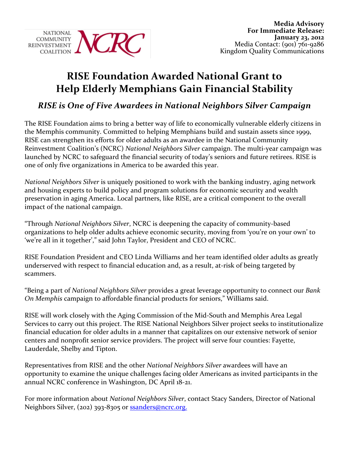

## **RISE Foundation Awarded National Grant to Help Elderly Memphians Gain Financial Stability**

## **RISE is One of Five Awardees in National Neighbors Silver Campaign**

The RISE Foundation aims to bring a better way of life to economically vulnerable elderly citizens in the Memphis community. Committed to helping Memphians build and sustain assets since 1999, RISE can strengthen its efforts for older adults as an awardee in the National Community Reinvestment Coalition's (NCRC) *National Neighbors Silver* campaign. The multi-year campaign was launched by NCRC to safeguard the financial security of today's seniors and future retirees. RISE is one of only five organizations in America to be awarded this year.

*National Neighbors Silver* is uniquely positioned to work with the banking industry, aging network and housing experts to build policy and program solutions for economic security and wealth preservation in aging America. Local partners, like RISE, are a critical component to the overall impact of the national campaign.

"Through *National Neighbors Silver*, NCRC is deepening the capacity of community-based organizations to help older adults achieve economic security, moving from 'you're on your own' to 'we're all in it together'," said John Taylor, President and CEO of NCRC.

RISE Foundation President and CEO Linda Williams and her team identified older adults as greatly underserved with respect to financial education and, as a result, at-risk of being targeted by scammers.!

"Being a part of *National Neighbors Silver* provides a great leverage opportunity to connect our *Bank On Memphis* campaign to affordable financial products for seniors," Williams said.

RISE will work closely with the Aging Commission of the Mid-South and Memphis Area Legal Services to carry out this project. The RISE National Neighbors Silver project seeks to institutionalize financial education for older adults in a manner that capitalizes on our extensive network of senior centers and nonprofit senior service providers. The project will serve four counties: Fayette, Lauderdale, Shelby and Tipton.

Representatives from RISE and the other *National Neighbors Silver* awardees will have an opportunity to examine the unique challenges facing older Americans as invited participants in the annual NCRC conference in Washington, DC April 18-21.

For more information about *National Neighbors Silver*, contact Stacy Sanders, Director of National Neighbors Silver, (202) 393-8305 or ssanders@ncrc.org.